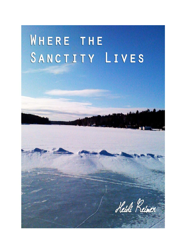## WHERE THE SANCTITY LIVES

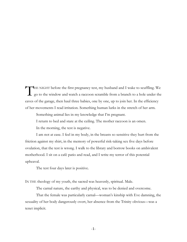THE NIGHT before the first pregnancy test, my husband and I wake to scuffling. We go to the window and watch a raccoon scramble from a branch to a hole under the go to the window and watch a raccoon scramble from a branch to a hole under the eaves of the garage, then haul three babies, one by one, up to join her. In the efficiency of her movements I read irritation. Something human lurks in the stretch of her arm.

Something animal lies in my knowledge that I'm pregnant.

I return to bed and stare at the ceiling. The mother raccoon is an omen.

In the morning, the test is negative.

I am not at ease. I feel in my body, in the breasts so sensitive they hurt from the friction against my shirt, in the memory of powerful risk-taking sex five days before ovulation, that the test is wrong. I walk to the library and borrow books on ambivalent motherhood. I sit on a café patio and read, and I write my terror of this potential upheaval.

The test four days later is positive.

IN THE theology of my youth, the sacred was heavenly, spiritual. Male.

The carnal nature, the earthy and physical, was to be denied and overcome.

That the female was particularly carnal—woman's kinship with Eve damning, the sexuality of her body dangerously overt, her absence from the Trinity obvious—was a tenet implicit.

 $-1-$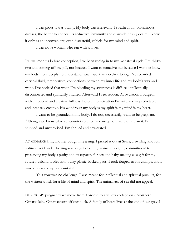I was pious. I was brainy. My body was irrelevant. I swathed it in voluminous dresses, the better to conceal its seductive femininity and dissuade fleshly desire. I knew it only as an inconvenient, even distasteful, vehicle for my mind and spirit.

I was not a woman who ran with wolves.

IN THE months before conception, I've been tuning in to my menstrual cycle. I'm thirtytwo and coming off the pill, not because I want to conceive but because I want to know my body more deeply, to understand how I work as a cyclical being. I've recorded cervical fluid, temperature, connections between my inner life and my body's wax and wane. I've noticed that when I'm bleeding my awareness is diffuse, intellectually disconnected and spiritually attuned. Afterward I feel reborn. At ovulation I burgeon with emotional and creative fullness. Before menstruation I'm wild and unpredictable and intensely creative. It's wondrous: my body is my spirit is my mind is my heart.

I want to be grounded in my body. I do not, necessarily, want to be pregnant. Although we know which encounter resulted in conception, we didn't plan it. I'm stunned and unsurprised. I'm thrilled and devastated.

AT MENARCHE my mother bought me a ring. I picked it out at Sears, a swirling knot on a slim silver band. The ring was a symbol of my womanhood, my commitment to preserving my body's purity and its capacity for sex and baby-making as a gift for my future husband. I bled into bulky plastic-backed pads, I took ibuprofen for cramps, and I vowed to keep my body untainted.

This vow was no challenge. I was meant for intellectual and spiritual pursuits, for the written word, for a life of mind and spirit. The animal act of sex did not appeal.

DURING MY pregnancy we move from Toronto to a yellow cottage on a Northern Ontario lake. Otters cavort off our dock. A family of bears lives at the end of our gravel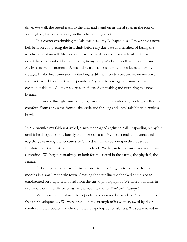drive. We walk the rutted track to the dam and stand on its metal span in the roar of water, glassy lake on one side, on the other surging river.

In a corner overlooking the lake we install my L-shaped desk. I'm writing a novel, hell-bent on completing the first draft before my due date and terrified of losing the touchstones of myself. Motherhood has occurred as debate in my head and heart, but now it becomes embedded, irrefutably, in my body. My belly swells to predominance. My breasts are phenomenal. A second heart beats inside me, a foot kicks under my ribcage. By the final trimester my thinking is diffuse. I try to concentrate on my novel and every word is difficult, alien, pointless. My creative energy is channeled into the creation inside me. All my resources are focused on making and nurturing this new human.

I'm awake through January nights, insomniac, full-bladdered, too large-bellied for comfort. From across the frozen lake, eerie and thrilling and unmistakably wild, wolves howl.

IN MY twenties my faith unraveled, a sweater snagged against a nail, unspooling bit by bit until it held together only loosely and then not at all. My best friend and I unraveled together, examining the strictures we'd lived within, discovering in their absence freedom and truth that weren't written in a book. We began to see ourselves as our own authorities. We began, tentatively, to look for the sacred in the earthy, the physical, the female.

At twenty-five we drove from Toronto to West Virginia to housesit for five months in a small mountain town. Crossing the state line we shrieked at the slogan emblazoned on a sign, scrambled from the car to photograph it. We raised our arms in exultation, our midriffs bared as we claimed the motto: *Wild and Wonderful.* 

Mountains enfolded us. Rivers pooled and cascaded around us. A community of free spirits adopted us. We were drunk on the strength of its women, awed by their comfort in their bodies and choices, their unapologetic femaleness. We swam naked in

 $-3-$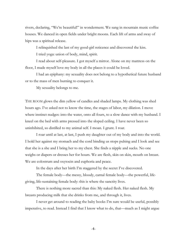rivers, declaring, "We're beautiful!" in wonderment. We sang in mountain music coffee houses. We danced in open fields under bright moons. Each lift of arms and sway of hips was a spiritual release.

I relinquished the last of my good-girl reticence and discovered the kiss.

I tried yoga: union of body, mind, spirit.

I read about self-pleasure. I got myself a mirror. Alone on my mattress on the floor, I made myself love my body in all the places it could be loved.

I had an epiphany: my sexuality does not belong to a hypothetical future husband or to the mass of men burning to conquer it.

My sexuality belongs to me.

THE ROOM glows the dim yellow of candles and shaded lamps. My clothing was shed hours ago. I've asked not to know the time, the stages of labor, my dilation. I move where instinct nudges: into the water, onto all fours, to a slow dance with my husband. I kneel on the bed with arms pressed into the sloped ceiling. I have never been so uninhibited, so distilled to my animal self. I moan. I grunt. I roar.

I roar until at last, at last, I push my daughter out of my body and into the world. I hold her against my stomach and the cord binding us stops pulsing and I look and see that she is a she and I bring her to my chest. She finds a nipple and sucks. No one weighs or diapers or dresses her for hours. We are flesh, skin on skin, mouth on breast. We are colostrum and oxytocin and euphoria and peace.

In the days after her birth I'm staggered by the secret I've discovered.

The female body—the messy, bloody, carnal female body—the powerful, lifegiving, life-sustaining female body: this is where the sanctity lives.

There is nothing more sacred than this: My naked flesh. Her naked flesh. My breasts producing milk that she drinks from me, and through it, lives.

I never get around to reading the baby books I'm sure would be useful, possibly imperative, to read. Instead I find that I know what to do, that—much as I might argue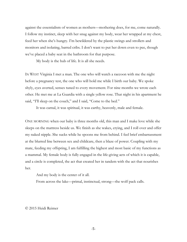against the essentialism of women as mothers—mothering does, for me, come naturally. I follow my instinct, sleep with her snug against my body, wear her wrapped at my chest, feed her when she's hungry. I'm bewildered by the plastic swings and strollers and monitors and isolating, barred cribs. I don't want to put her down even to pee, though we've placed a baby seat in the bathroom for that purpose.

My body is the hub of life. It is all she needs.

IN WEST Virginia I met a man. The one who will watch a raccoon with me the night before a pregnancy test, the one who will hold me while I birth our baby. We spoke shyly, eyes averted, senses tuned to every movement. For nine months we wrote each other. He met me at La Guardia with a single yellow rose. That night in his apartment he said, "I'll sleep on the couch," and I said, "Come to the bed."

It was carnal, it was spiritual, it was earthy, heavenly, male and female.

ONE MORNING when our baby is three months old, this man and I make love while she sleeps on the mattress beside us. We finish as she wakes, crying, and I roll over and offer my naked nipple. She sucks while he spoons me from behind. I feel brief embarrassment at the blurred line between sex and childcare, then a blaze of power. Coupling with my mate, feeding my offspring, I am fulfilling the highest and most basic of my functions as a mammal. My female body is fully engaged in the life-giving acts of which it is capable, and a circle is completed, the act that created her in tandem with the act that nourishes her.

And my body is the center of it all.

From across the lake—primal, instinctual, strong—the wolf pack calls.

## © 2015 Heidi Reimer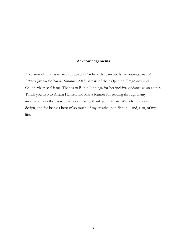## **Acknowledgements**

A version of this essay first appeared as "Where the Sanctity Is" in *Stealing Time: A Literary Journal for Parents*, Summer 2013, as part of their Opening: Pregnancy and Childbirth special issue. Thanks to Robin Jennings for her incisive guidance as an editor. Thank you also to Anena Hansen and Marja Reimer for reading through many incarnations as the essay developed. Lastly, thank you Richard Willis for the cover design, and for being a hero of so much of my creative non-fiction—and, also, of my life.